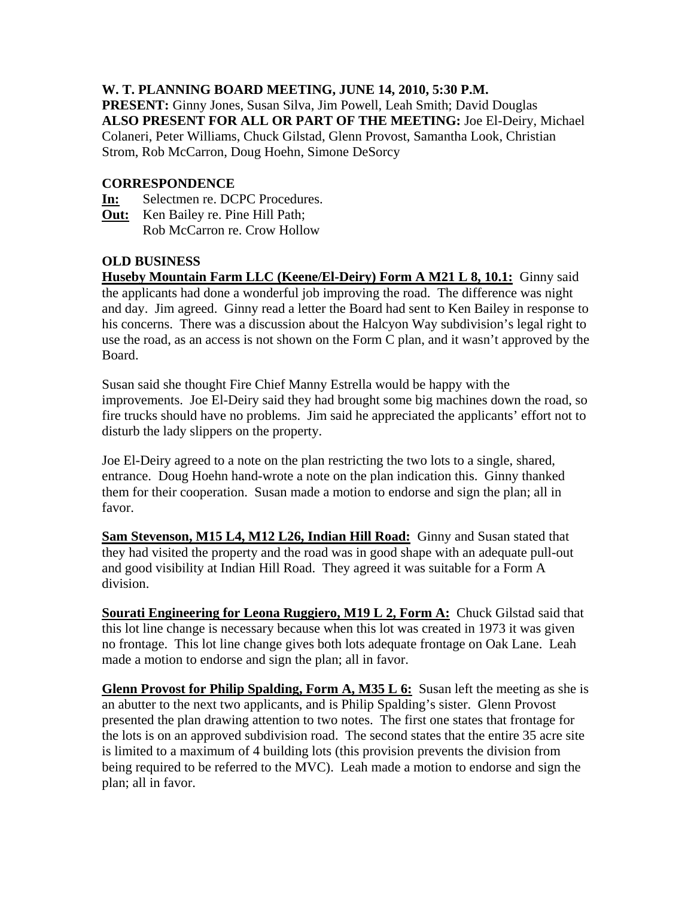## **W. T. PLANNING BOARD MEETING, JUNE 14, 2010, 5:30 P.M.**

**PRESENT:** Ginny Jones, Susan Silva, Jim Powell, Leah Smith; David Douglas **ALSO PRESENT FOR ALL OR PART OF THE MEETING:** Joe El-Deiry, Michael Colaneri, Peter Williams, Chuck Gilstad, Glenn Provost, Samantha Look, Christian Strom, Rob McCarron, Doug Hoehn, Simone DeSorcy

## **CORRESPONDENCE**

- **In:** Selectmen re. DCPC Procedures.
- **Out:** Ken Bailey re. Pine Hill Path; Rob McCarron re. Crow Hollow

## **OLD BUSINESS**

**Huseby Mountain Farm LLC (Keene/El-Deiry) Form A M21 L 8, 10.1:** Ginny said the applicants had done a wonderful job improving the road. The difference was night and day. Jim agreed. Ginny read a letter the Board had sent to Ken Bailey in response to his concerns. There was a discussion about the Halcyon Way subdivision's legal right to use the road, as an access is not shown on the Form C plan, and it wasn't approved by the Board.

Susan said she thought Fire Chief Manny Estrella would be happy with the improvements. Joe El-Deiry said they had brought some big machines down the road, so fire trucks should have no problems. Jim said he appreciated the applicants' effort not to disturb the lady slippers on the property.

Joe El-Deiry agreed to a note on the plan restricting the two lots to a single, shared, entrance. Doug Hoehn hand-wrote a note on the plan indication this. Ginny thanked them for their cooperation. Susan made a motion to endorse and sign the plan; all in favor.

**Sam Stevenson, M15 L4, M12 L26, Indian Hill Road:** Ginny and Susan stated that they had visited the property and the road was in good shape with an adequate pull-out and good visibility at Indian Hill Road. They agreed it was suitable for a Form A division.

**Sourati Engineering for Leona Ruggiero, M19 L 2, Form A:** Chuck Gilstad said that this lot line change is necessary because when this lot was created in 1973 it was given no frontage. This lot line change gives both lots adequate frontage on Oak Lane. Leah made a motion to endorse and sign the plan; all in favor.

**Glenn Provost for Philip Spalding, Form A, M35 L 6:** Susan left the meeting as she is an abutter to the next two applicants, and is Philip Spalding's sister. Glenn Provost presented the plan drawing attention to two notes. The first one states that frontage for the lots is on an approved subdivision road. The second states that the entire 35 acre site is limited to a maximum of 4 building lots (this provision prevents the division from being required to be referred to the MVC). Leah made a motion to endorse and sign the plan; all in favor.